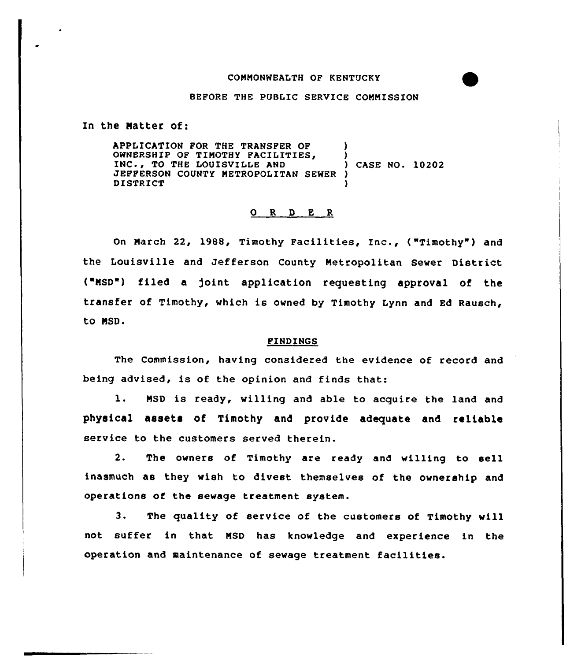## COMMONWEALTH OF KENTUCKY

## BEPORE THE PUBLIC SERVICE COMMISSION

In the Natter of:

APPLICATION POR THE TRANSPER OP OWNERSHIP OF TIMOTHY FACILITIES, INC., TO THE LOUISVILLE AND JEPPERSON COUNTY METROPOLITAN SEWER ) DISTRICT ) ) ) CASE NO. 10202 )

## 0 R <sup>D</sup> E <sup>R</sup>

On March 22, 1988, Timothy Facilities, Inc., ("Timothy") and the Louisville and Jefferson County Metropolitan Sewer District ("NSD") filed a )oint application requesting approval of the transfer of Timothy, which is owned by Timothy Lynn and Ed Rausch, to NSD.

## PINDINGS

The Commission, having considered the evidence of record and being advised, is of the opinion and finds that:

l. MSD is ready, willing and able to acquire the land and physical assets of Timothy and provide adequate and reliable service to the customers served therein.

2. The owners of Timothy are ready and willing to sell inasmuch as they wish to divest themselves of the ownership and operations of the sewage treatment system.

3. The quality of service of the customers of Timothy will not suffer in that MSD has knowledge and experience in the operation and maintenance of sewage treatment facilities.